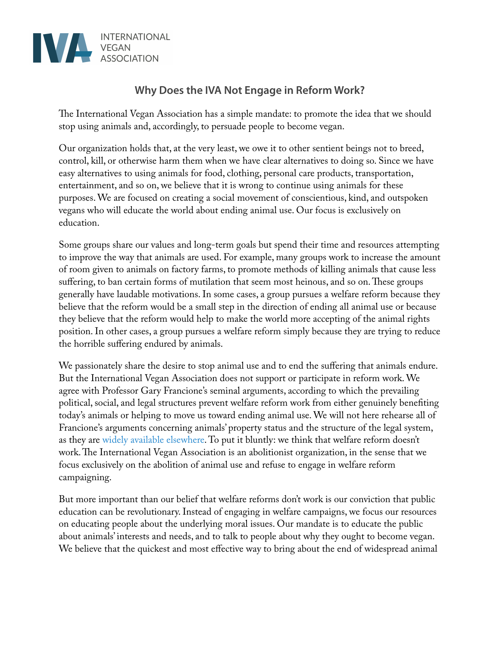

## **Why Does the IVA Not Engage in Reform Work?**

The International Vegan Association has a simple mandate: to promote the idea that we should stop using animals and, accordingly, to persuade people to become vegan.

Our organization holds that, at the very least, we owe it to other sentient beings not to breed, control, kill, or otherwise harm them when we have clear alternatives to doing so. Since we have easy alternatives to using animals for food, clothing, personal care products, transportation, entertainment, and so on, we believe that it is wrong to continue using animals for these purposes. We are focused on creating a social movement of conscientious, kind, and outspoken vegans who will educate the world about ending animal use. Our focus is exclusively on education.

Some groups share our values and long-term goals but spend their time and resources attempting to improve the way that animals are used. For example, many groups work to increase the amount of room given to animals on factory farms, to promote methods of killing animals that cause less suffering, to ban certain forms of mutilation that seem most heinous, and so on. These groups generally have laudable motivations. In some cases, a group pursues a welfare reform because they believe that the reform would be a small step in the direction of ending all animal use or because they believe that the reform would help to make the world more accepting of the animal rights position. In other cases, a group pursues a welfare reform simply because they are trying to reduce the horrible suffering endured by animals.

We passionately share the desire to stop animal use and to end the suffering that animals endure. But the International Vegan Association does not support or participate in reform work. We agree with Professor Gary Francione's seminal arguments, according to which the prevailing political, social, and legal structures prevent welfare reform work from either genuinely benefting today's animals or helping to move us toward ending animal use. We will not here rehearse all of Francione's arguments concerning animals' property status and the structure of the legal system, as they are [widely](http://www.abolitionistapproach.com/books/#.UzXkz9wd6lI) [available](http://www.abolitionistapproach.com/abolitionist-animal-rights-abolitionist-veganism-in-a-nutshell/#.UzXlS9wd6lI) [elsewhere](http://www.abolitionistapproach.com/). To put it bluntly: we think that welfare reform doesn't work. The International Vegan Association is an abolitionist organization, in the sense that we focus exclusively on the abolition of animal use and refuse to engage in welfare reform campaigning.

But more important than our belief that welfare reforms don't work is our conviction that public education can be revolutionary. Instead of engaging in welfare campaigns, we focus our resources on educating people about the underlying moral issues. Our mandate is to educate the public about animals' interests and needs, and to talk to people about why they ought to become vegan. We believe that the quickest and most effective way to bring about the end of widespread animal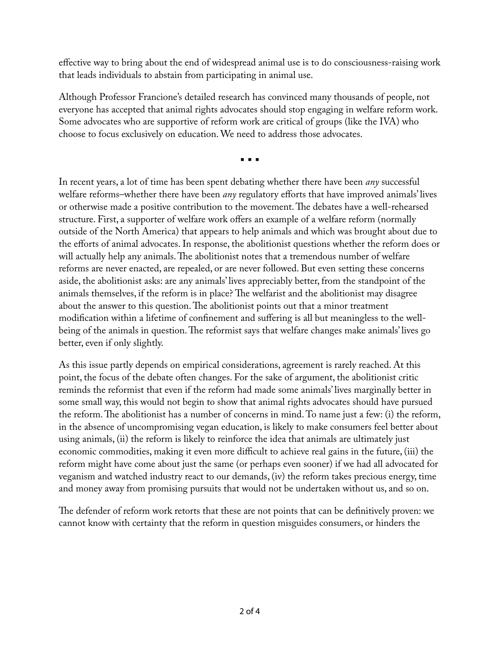effective way to bring about the end of widespread animal use is to do consciousness-raising work that leads individuals to abstain from participating in animal use.

Although Professor Francione's detailed research has convinced many thousands of people, not everyone has accepted that animal rights advocates should stop engaging in welfare reform work. Some advocates who are supportive of reform work are critical of groups (like the IVA) who choose to focus exclusively on education. We need to address those advocates.

▪︎ ▪︎ ▪︎

In recent years, a lot of time has been spent debating whether there have been *any* successful welfare reforms–whether there have been *any* regulatory efforts that have improved animals' lives or otherwise made a positive contribution to the movement. The debates have a well-rehearsed structure. First, a supporter of welfare work offers an example of a welfare reform (normally outside of the North America) that appears to help animals and which was brought about due to the efforts of animal advocates. In response, the abolitionist questions whether the reform does or will actually help any animals. The abolitionist notes that a tremendous number of welfare reforms are never enacted, are repealed, or are never followed. But even setting these concerns aside, the abolitionist asks: are any animals' lives appreciably better, from the standpoint of the animals themselves, if the reform is in place? The welfarist and the abolitionist may disagree about the answer to this question. The abolitionist points out that a minor treatment modifcation within a lifetime of confnement and suffering is all but meaningless to the wellbeing of the animals in question. The reformist says that welfare changes make animals' lives go better, even if only slightly.

As this issue partly depends on empirical considerations, agreement is rarely reached. At this point, the focus of the debate often changes. For the sake of argument, the abolitionist critic reminds the reformist that even if the reform had made some animals' lives marginally better in some small way, this would not begin to show that animal rights advocates should have pursued the reform. The abolitionist has a number of concerns in mind. To name just a few: (i) the reform, in the absence of uncompromising vegan education, is likely to make consumers feel better about using animals, (ii) the reform is likely to reinforce the idea that animals are ultimately just economic commodities, making it even more difficult to achieve real gains in the future, (iii) the reform might have come about just the same (or perhaps even sooner) if we had all advocated for veganism and watched industry react to our demands, (iv) the reform takes precious energy, time and money away from promising pursuits that would not be undertaken without us, and so on.

The defender of reform work retorts that these are not points that can be definitively proven: we cannot know with certainty that the reform in question misguides consumers, or hinders the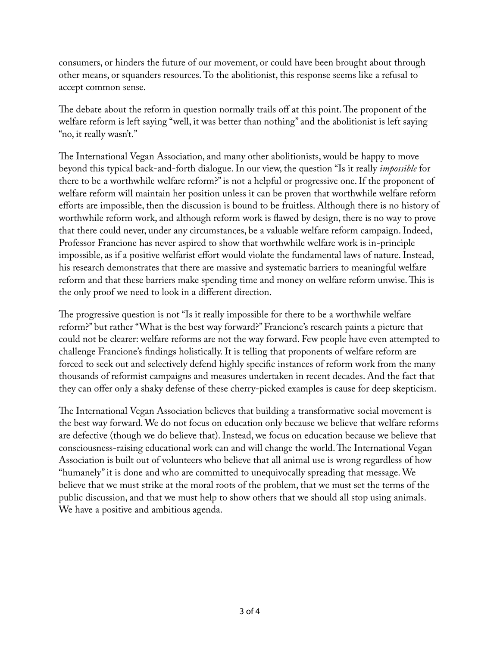consumers, or hinders the future of our movement, or could have been brought about through other means, or squanders resources. To the abolitionist, this response seems like a refusal to accept common sense.

The debate about the reform in question normally trails off at this point. The proponent of the welfare reform is left saying "well, it was better than nothing" and the abolitionist is left saying "no, it really wasn't."

The International Vegan Association, and many other abolitionists, would be happy to move beyond this typical back-and-forth dialogue. In our view, the question "Is it really *impossible* for there to be a worthwhile welfare reform?" is not a helpful or progressive one. If the proponent of welfare reform will maintain her position unless it can be proven that worthwhile welfare reform efforts are impossible, then the discussion is bound to be fruitless. Although there is no history of worthwhile reform work, and although reform work is fawed by design, there is no way to prove that there could never, under any circumstances, be a valuable welfare reform campaign. Indeed, Professor Francione has never aspired to show that worthwhile welfare work is in-principle impossible, as if a positive welfarist effort would violate the fundamental laws of nature. Instead, his research demonstrates that there are massive and systematic barriers to meaningful welfare reform and that these barriers make spending time and money on welfare reform unwise. This is the only proof we need to look in a different direction.

The progressive question is not "Is it really impossible for there to be a worthwhile welfare reform?" but rather "What is the best way forward?" Francione's research paints a picture that could not be clearer: welfare reforms are not the way forward. Few people have even attempted to challenge Francione's fndings holistically. It is telling that proponents of welfare reform are forced to seek out and selectively defend highly specifc instances of reform work from the many thousands of reformist campaigns and measures undertaken in recent decades. And the fact that they can offer only a shaky defense of these cherry-picked examples is cause for deep skepticism.

The International Vegan Association believes that building a transformative social movement is the best way forward. We do not focus on education only because we believe that welfare reforms are defective (though we do believe that). Instead, we focus on education because we believe that consciousness-raising educational work can and will change the world. The International Vegan Association is built out of volunteers who believe that all animal use is wrong regardless of how "humanely" it is done and who are committed to unequivocally spreading that message. We believe that we must strike at the moral roots of the problem, that we must set the terms of the public discussion, and that we must help to show others that we should all stop using animals. We have a positive and ambitious agenda.